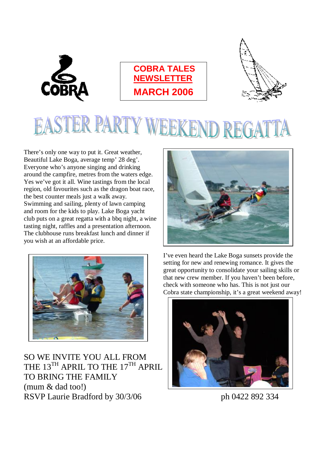





## ĺ. ER PARTY W KEND RE

There's only one way to put it. Great weather, Beautiful Lake Boga, average temp' 28 deg'. Everyone who's anyone singing and drinking around the campfire, metres from the waters edge. Yes we've got it all. Wine tastings from the local region, old favourites such as the dragon boat race, the best counter meals just a walk away. Swimming and sailing, plenty of lawn camping and room for the kids to play. Lake Boga yacht club puts on a great regatta with a bbq night, a wine tasting night, raffles and a presentation afternoon. The clubhouse runs breakfast lunch and dinner if you wish at an affordable price.





SO WE INVITE YOU ALL FROM THE 13<sup>TH</sup> APRIL TO THE 17<sup>TH</sup> APRIL TO BRING THE FAMILY (mum & dad too!) RSVP Laurie Bradford by 30/3/06 ph 0422 892 334

I've even heard the Lake Boga sunsets provide the setting for new and renewing romance. It gives the great opportunity to consolidate your sailing skills or that new crew member. If you haven't been before, check with someone who has. This is not just our Cobra state championship, it's a great weekend away!

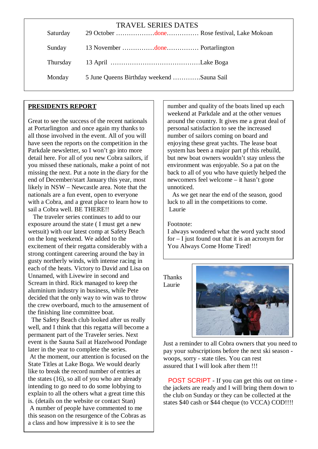| Saturday | <b>TRAVEL SERIES DATES</b>                |
|----------|-------------------------------------------|
| Sunday   |                                           |
| Thursday |                                           |
| Monday   | 5 June Queens Birthday weekend Sauna Sail |
|          |                                           |

#### **PRESIDENTS REPORT**

Great to see the success of the recent nationals at Portarlington and once again my thanks to all those involved in the event. All of you will have seen the reports on the competition in the Parkdale newsletter, so I won't go into more detail here. For all of you new Cobra sailors, if you missed these nationals, make a point of not missing the next. Put a note in the diary for the end of December/start January this year, most likely in NSW – Newcastle area. Note that the nationals are a fun event, open to everyone with a Cobra, and a great place to learn how to sail a Cobra well. BE THERE!!

 each of the heats. Victory to David and Lisa on The traveler series continues to add to our exposure around the state ( I must get a new wetsuit) with our latest comp at Safety Beach on the long weekend. We added to the excitement of their regatta considerably with a strong contingent careering around the bay in gusty northerly winds, with intense racing in Unnamed, with Livewire in second and Scream in third. Rick managed to keep the aluminium industry in business, while Pete decided that the only way to win was to throw the crew overboard, much to the amusement of the finishing line committee boat.

 The Safety Beach club looked after us really well, and I think that this regatta will become a permanent part of the Traveler series. Next event is the Sauna Sail at Hazelwood Pondage later in the year to complete the series. At the moment, our attention is focused on the State Titles at Lake Boga. We would dearly like to break the record number of entries at the states (16), so all of you who are already intending to go need to do some lobbying to explain to all the others what a great time this is. (details on the website or contact Stan) A number of people have commented to me this season on the resurgence of the Cobras as a class and how impressive it is to see the

number and quality of the boats lined up each weekend at Parkdale and at the other venues around the country. It gives me a great deal of personal satisfaction to see the increased number of sailors coming on board and enjoying these great yachts. The lease boat system has been a major part pf this rebuild, but new boat owners wouldn't stay unless the environment was enjoyable. So a pat on the back to all of you who have quietly helped the newcomers feel welcome – it hasn't gone unnoticed.

As we get near the end of the season, good luck to all in the competitions to come. Laurie

Footnote:

I always wondered what the word yacht stood for – I just found out that it is an acronym for You Always Come Home Tired!

**Thanks** Laurie



Just a reminder to all Cobra owners that you need to pay your subscriptions before the next ski season woops, sorry - state tiles. You can rest assured that I will look after them !!!

POST SCRIPT - If you can get this out on time the jackets are ready and I will bring them down to the club on Sunday or they can be collected at the states \$40 cash or \$44 cheque (to VCCA) COD!!!!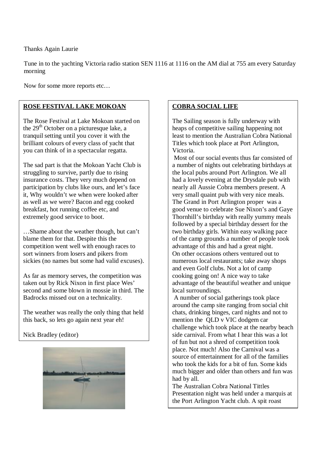Thanks Again Laurie

Tune in to the yachting Victoria radio station SEN 1116 at 1116 on the AM dial at 755 am every Saturday morning

Now for some more reports etc…

#### **ROSE FESTIVAL LAKE MOKOAN**

The Rose Festival at Lake Mokoan started on the  $29<sup>th</sup>$  October on a picturesque lake, a tranquil setting until you cover it with the brilliant colours of every class of yacht that you can think of in a spectacular regatta.

The sad part is that the Mokoan Yacht Club is struggling to survive, partly due to rising insurance costs. They very much depend on participation by clubs like ours, and let's face it, Why wouldn't we when were looked after as well as we were? Bacon and egg cooked breakfast, hot running coffee etc, and extremely good service to boot.

…Shame about the weather though, but can't blame them for that. Despite this the competition went well with enough races to sort winners from losers and pikers from sickies (no names but some had valid excuses).

As far as memory serves, the competition was taken out by Rick Nixon in first place Wes' second and some blown in mossie in third. The Badrocks missed out on a technicality.

The weather was really the only thing that held this back, so lets go again next year eh!

Nick Bradley (editor)



### **COBRA SOCIAL LIFE**

The Sailing season is fully underway with heaps of competitive sailing happening not least to mention the Australian Cobra National Titles which took place at Port Arlington, Victoria.

Most of our social events thus far consisted of a number of nights out celebrating birthdays at the local pubs around Port Arlington. We all had a lovely evening at the Drysdale pub with nearly all Aussie Cobra members present. A very small quaint pub with very nice meals. The Grand in Port Arlington proper was a good venue to celebrate Sue Nixon's and Gaye Thornhill's birthday with really yummy meals followed by a special birthday dessert for the two birthday girls. Within easy walking pace of the camp grounds a number of people took advantage of this and had a great night. On other occasions others ventured out to numerous local restaurants; take away shops and even Golf clubs. Not a lot of camp cooking going on! A nice way to take advantage of the beautiful weather and unique local surroundings.

A number of social gatherings took place around the camp site ranging from social chit chats, drinking binges, card nights and not to mention the QLD v VIC dodgem car challenge which took place at the nearby beach side carnival. From what I hear this was a lot of fun but not a shred of competition took place. Not much! Also the Carnival was a source of entertainment for all of the families who took the kids for a bit of fun. Some kids much bigger and older than others and fun was had by all.

The Australian Cobra National Tittles Presentation night was held under a marquis at the Port Arlington Yacht club. A spit roast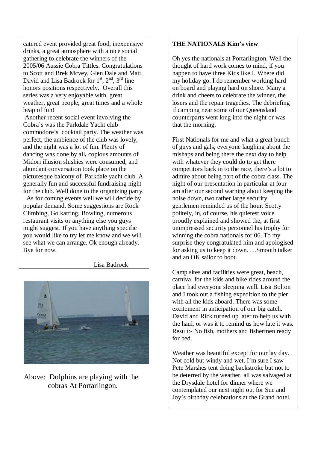catered event provided great food, inexpensive drinks, a great atmosphere with a nice social gathering to celebrate the winners of the 2005/06 Aussie Cobra Tittles. Congratulations to Scott and Brek Mcvey, Glen Dale and Matt, David and Lisa Badrock for  $1<sup>st</sup>$ ,  $2<sup>nd</sup>$ ,  $3<sup>rd</sup>$  line honors positions respectively. Overall this series was a very enjoyable with, great weather, great people, great times and a whole heap of fun!

 and the night was a lot of fun. Plenty of Another recent social event involving the Cobra's was the Parkdale Yacht club commodore's cocktail party. The weather was perfect, the ambience of the club was lovely, dancing was done by all**,** copious amounts of Midori illusion slushies were consumed, and abundant conversation took place on the picturesque balcony of Parkdale yacht club. A generally fun and successful fundraising night for the club. Well done to the organizing party.

 As for coming events well we will decide by popular demand. Some suggestions are Rock Climbing, Go karting, Bowling, numerous restaurant visits or anything else you guys might suggest. If you have anything specific you would like to try let me know and we will see what we can arrange. Ok enough already. Bye for now.

Lisa Badrock



Above: Dolphins are playing with the cobras At Portarlingon.

### **THE NATIONALS Kim's view**

Oh yes the nationals at Portarlington. Well the thought of hard work comes to mind, if you happen to have three Kids like I. Where did my holiday go. I do remember working hard on board and playing hard on shore. Many a drink and cheers to celebrate the winner, the losers and the repair tragedies. The debriefing if camping near some of our Queensland counterparts went long into the night or was that the morning.

First Nationals for me and what a great bunch of guys and gals, everyone laughing about the mishaps and being there the next day to help with whatever they could do to get there competitors back in to the race, there's a lot to admire about being part of the cobra class. The night of our presentation in particular at four am after our second warning about keeping the noise down, two rather large security gentlemen reminded us of the hour. Scotty politely, in, of course, his quietest voice proudly explained and showed the, at first unimpressed security personnel his trophy for winning the cobra nationals for 06. To my surprise they congratulated him and apologised for asking us to keep it down. …Smooth talker and an OK sailor to boot.

Camp sites and facilities were great, beach, carnival for the kids and bike rides around the place had everyone sleeping well. Lisa Bolton and I took out a fishing expedition to the pier with all the kids aboard. There was some excitement in anticipation of our big catch. David and Rick turned up later to help us with the haul, or was it to remind us how late it was. Result:- No fish, mothers and fishermen ready for bed.

Weather was beautiful except for our lay day. Not cold but windy and wet. I'm sure I saw Pete Marshes tent doing backstroke but not to be deterred by the weather, all was salvaged at the Drysdale hotel for dinner where we contemplated our next night out for Sue and Joy's birthday celebrations at the Grand hotel.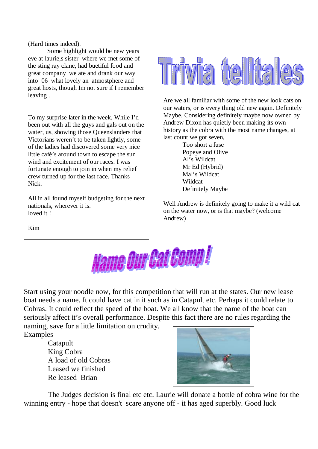(Hard times indeed).

 eve at laurie,s sister where we met some of Some highlight would be new years the sting ray clane, had buetiful food and great company we ate and drank our way into 06 what lovely an atmostphere and great hosts, though Im not sure if I remember leaving .

To my surprise later in the week, While I'd been out with all the guys and gals out on the water, us, showing those Queenslanders that Victorians weren't to be taken lightly, some of the ladies had discovered some very nice little café's around town to escape the sun wind and excitement of our races. I was fortunate enough to join in when my relief crew turned up for the last race. Thanks Nick.

All in all found myself budgeting for the next nationals, wherever it is. loved it!



Are we all familiar with some of the new look cats on our waters, or is every thing old new again. Definitely Maybe. Considering definitely maybe now owned by Andrew Dixon has quietly been making its own history as the cobra with the most name changes, at last count we got seven,

> Too short a fuse Popeye and Olive Al's Wildcat Mr Ed (Hybrid) Mal's Wildcat Wildcat Definitely Maybe

Well Andrew is definitely going to make it a wild cat on the water now, or is that maybe? (welcome Andrew)

Kim

 $\overline{\phantom{a}}$ 



Start using your noodle now, for this competition that will run at the states. Our new lease boat needs a name. It could have cat in it such as in Catapult etc. Perhaps it could relate to Cobras. It could reflect the speed of the boat. We all know that the name of the boat can seriously affect it's overall performance. Despite this fact there are no rules regarding the

naming, save for a little limitation on crudity. Examples

> Catapult King Cobra A load of old Cobras Leased we finished Re leased Brian



The Judges decision is final etc etc. Laurie will donate a bottle of cobra wine for the winning entry - hope that doesn't scare anyone off - it has aged superbly. Good luck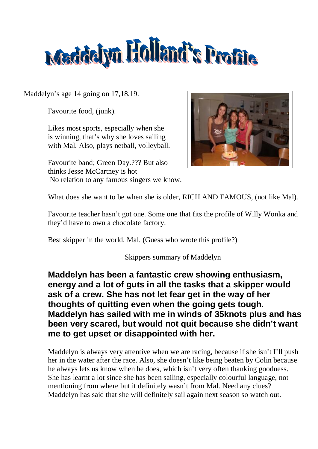

Maddelyn's age 14 going on 17,18,19.

Favourite food, (junk).

Likes most sports, especially when she is winning, that's why she loves sailing with Mal. Also, plays netball, volleyball.

Favourite band; Green Day.??? But also thinks Jesse McCartney is hot No relation to any famous singers we know.



What does she want to be when she is older, RICH AND FAMOUS, (not like Mal).

Favourite teacher hasn't got one. Some one that fits the profile of Willy Wonka and they'd have to own a chocolate factory.

Best skipper in the world, Mal. (Guess who wrote this profile?)

Skippers summary of Maddelyn

**Maddelyn has been a fantastic crew showing enthusiasm, energy and a lot of guts in all the tasks that a skipper would ask of a crew. She has not let fear get in the way of her thoughts of quitting even when the going gets tough. Maddelyn has sailed with me in winds of 35knots plus and has been very scared, but would not quit because she didn't want me to get upset or disappointed with her.** 

Maddelyn is always very attentive when we are racing, because if she isn't I'll push her in the water after the race. Also, she doesn't like being beaten by Colin because he always lets us know when he does, which isn't very often thanking goodness. She has learnt a lot since she has been sailing, especially colourful language, not mentioning from where but it definitely wasn't from Mal. Need any clues? Maddelyn has said that she will definitely sail again next season so watch out.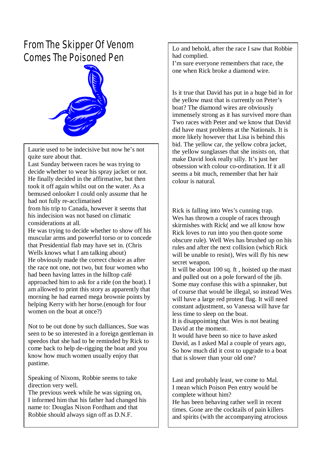# *From The Skipper Of Venom Comes The Poisoned Pen*



Laurie used to be indecisive but now he's not quite sure about that.

Last Sunday between races he was trying to decide whether to wear his spray jacket or not. He finally decided in the affirmative, but then took it off again whilst out on the water. As a bemused onlooker I could only assume that he had not fully re-acclimatised

from his trip to Canada, however it seems that his indecision was not based on climatic considerations at all.

He was trying to decide whether to show off his muscular arms and powerful torso or to concede that Presidential flab may have set in. (Chris Wells knows what I am talking about) He obviously made the correct choice as after the race not one, not two, but four women who had been having lattes in the hilltop café approached him to ask for a ride (on the boat). I am allowed to print this story as apparently that morning he had earned mega brownie points by helping Kerry with her horse.(enough for four women on the boat at once?)

Not to be out done by such dalliances, Sue was seen to be so interested in a foreign gentleman in speedos that she had to be reminded by Rick to come back to help de-rigging the boat and you know how much women usually enjoy that pastime.

Speaking of Nixons, Robbie seems to take direction very well.

The previous week while he was signing on, I informed him that his father had changed his name to: Douglas Nixon Fordham and that Robbie should always sign off as D.N.F.

Lo and behold, after the race I saw that Robbie had complied.

I'm sure everyone remembers that race, the one when Rick broke a diamond wire.

Is it true that David has put in a huge bid in for the yellow mast that is currently on Peter's boat? The diamond wires are obviously immensely strong as it has survived more than Two races with Peter and we know that David did have mast problems at the Nationals. It is more likely however that Lisa is behind this bid. The yellow car, the yellow cobra jacket, the yellow sunglasses that she insists on, that make David look really silly. It's just her obsession with colour co-ordination. If it all seems a bit much, remember that her hair colour is natural.

Rick is falling into Wes's cunning trap. Wes has thrown a couple of races through skirmishes with Rick( and we all know how Rick loves to run into you then quote some obscure rule). Well Wes has brushed up on his rules and after the next collision (which Rick will be unable to resist), Wes will fly his new secret weapon.

It will be about 100 sq. ft , hoisted up the mast and pulled out on a pole forward of the jib. Some may confuse this with a spinnaker, but of course that would be illegal, so instead Wes will have a large red protest flag. It will need constant adjustment, so Vanessa will have far less time to sleep on the boat.

It is disappointing that Wes is not beating David at the moment.

It would have been so nice to have asked David, as I asked Mal a couple of years ago, So how much did it cost to upgrade to a boat that is slower than your old one?

Last and probably least, we come to Mal. I mean which Poison Pen entry would be complete without him?

He has been behaving rather well in recent times. Gone are the cocktails of pain killers and spirits (with the accompanying atrocious